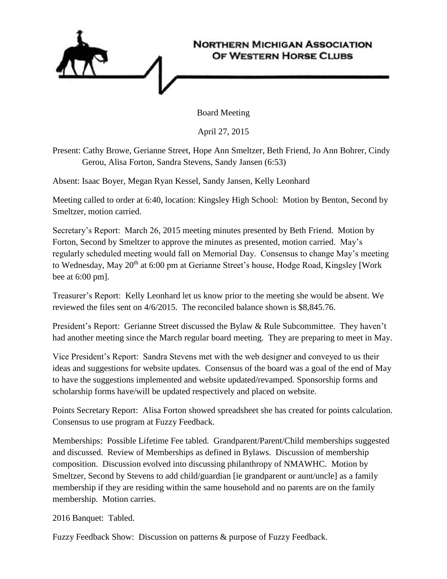

Board Meeting

April 27, 2015

Present: Cathy Browe, Gerianne Street, Hope Ann Smeltzer, Beth Friend, Jo Ann Bohrer, Cindy Gerou, Alisa Forton, Sandra Stevens, Sandy Jansen (6:53)

Absent: Isaac Boyer, Megan Ryan Kessel, Sandy Jansen, Kelly Leonhard

Meeting called to order at 6:40, location: Kingsley High School: Motion by Benton, Second by Smeltzer, motion carried.

Secretary's Report: March 26, 2015 meeting minutes presented by Beth Friend. Motion by Forton, Second by Smeltzer to approve the minutes as presented, motion carried. May's regularly scheduled meeting would fall on Memorial Day. Consensus to change May's meeting to Wednesday, May 20<sup>th</sup> at 6:00 pm at Gerianne Street's house, Hodge Road, Kingsley [Work bee at 6:00 pm].

Treasurer's Report: Kelly Leonhard let us know prior to the meeting she would be absent. We reviewed the files sent on 4/6/2015. The reconciled balance shown is \$8,845.76.

President's Report: Gerianne Street discussed the Bylaw & Rule Subcommittee. They haven't had another meeting since the March regular board meeting. They are preparing to meet in May.

Vice President's Report: Sandra Stevens met with the web designer and conveyed to us their ideas and suggestions for website updates. Consensus of the board was a goal of the end of May to have the suggestions implemented and website updated/revamped. Sponsorship forms and scholarship forms have/will be updated respectively and placed on website.

Points Secretary Report: Alisa Forton showed spreadsheet she has created for points calculation. Consensus to use program at Fuzzy Feedback.

Memberships: Possible Lifetime Fee tabled. Grandparent/Parent/Child memberships suggested and discussed. Review of Memberships as defined in Bylaws. Discussion of membership composition. Discussion evolved into discussing philanthropy of NMAWHC. Motion by Smeltzer, Second by Stevens to add child/guardian [ie grandparent or aunt/uncle] as a family membership if they are residing within the same household and no parents are on the family membership. Motion carries.

2016 Banquet: Tabled.

Fuzzy Feedback Show: Discussion on patterns & purpose of Fuzzy Feedback.